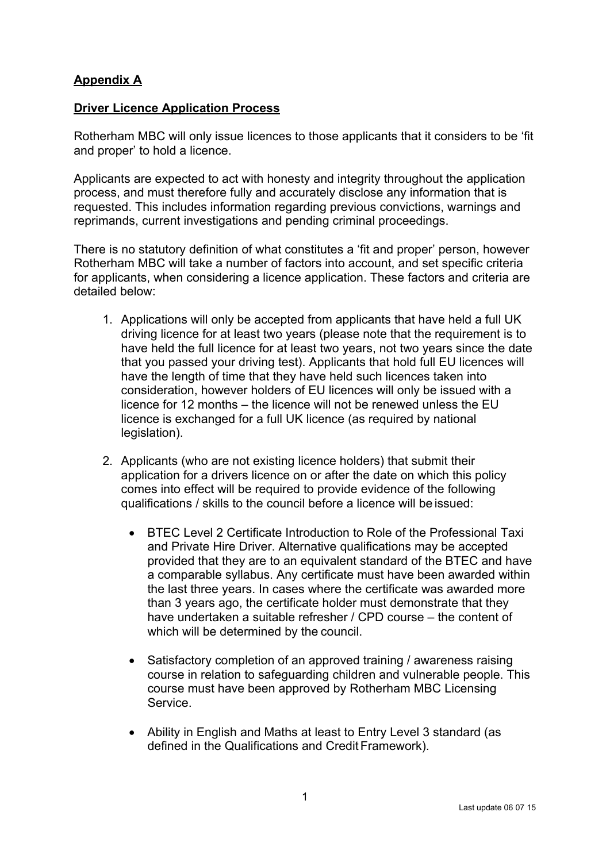## **Appendix A**

## **Driver Licence Application Process**

Rotherham MBC will only issue licences to those applicants that it considers to be 'fit and proper' to hold a licence.

Applicants are expected to act with honesty and integrity throughout the application process, and must therefore fully and accurately disclose any information that is requested. This includes information regarding previous convictions, warnings and reprimands, current investigations and pending criminal proceedings.

There is no statutory definition of what constitutes a 'fit and proper' person, however Rotherham MBC will take a number of factors into account, and set specific criteria for applicants, when considering a licence application. These factors and criteria are detailed below:

- 1. Applications will only be accepted from applicants that have held a full UK driving licence for at least two years (please note that the requirement is to have held the full licence for at least two years, not two years since the date that you passed your driving test). Applicants that hold full EU licences will have the length of time that they have held such licences taken into consideration, however holders of EU licences will only be issued with a licence for 12 months – the licence will not be renewed unless the EU licence is exchanged for a full UK licence (as required by national legislation).
- 2. Applicants (who are not existing licence holders) that submit their application for a drivers licence on or after the date on which this policy comes into effect will be required to provide evidence of the following qualifications / skills to the council before a licence will be issued:
	- BTEC Level 2 Certificate Introduction to Role of the Professional Taxi and Private Hire Driver. Alternative qualifications may be accepted provided that they are to an equivalent standard of the BTEC and have a comparable syllabus. Any certificate must have been awarded within the last three years. In cases where the certificate was awarded more than 3 years ago, the certificate holder must demonstrate that they have undertaken a suitable refresher / CPD course – the content of which will be determined by the council.
	- Satisfactory completion of an approved training / awareness raising course in relation to safeguarding children and vulnerable people. This course must have been approved by Rotherham MBC Licensing Service.
	- Ability in English and Maths at least to Entry Level 3 standard (as defined in the Qualifications and Credit Framework).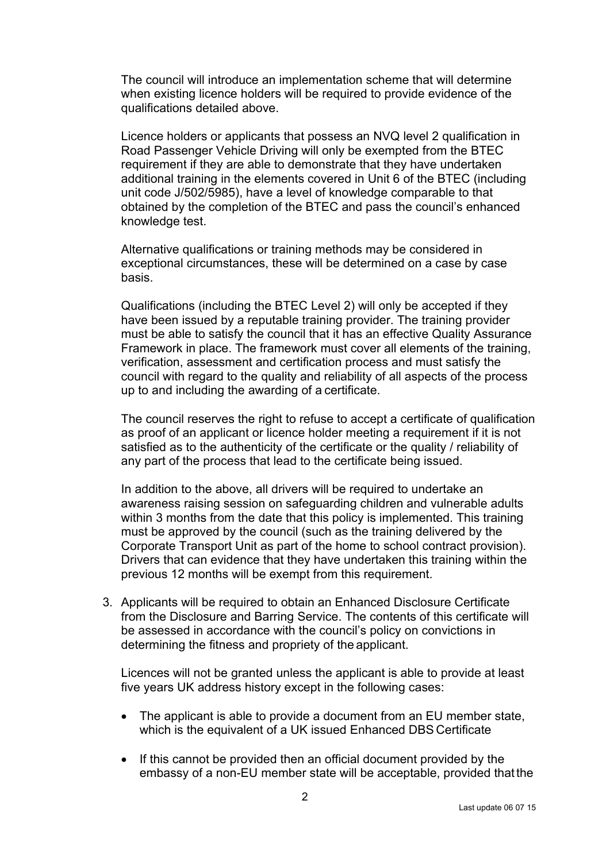The council will introduce an implementation scheme that will determine when existing licence holders will be required to provide evidence of the qualifications detailed above.

Licence holders or applicants that possess an NVQ level 2 qualification in Road Passenger Vehicle Driving will only be exempted from the BTEC requirement if they are able to demonstrate that they have undertaken additional training in the elements covered in Unit 6 of the BTEC (including unit code J/502/5985), have a level of knowledge comparable to that obtained by the completion of the BTEC and pass the council's enhanced knowledge test.

Alternative qualifications or training methods may be considered in exceptional circumstances, these will be determined on a case by case basis.

Qualifications (including the BTEC Level 2) will only be accepted if they have been issued by a reputable training provider. The training provider must be able to satisfy the council that it has an effective Quality Assurance Framework in place. The framework must cover all elements of the training, verification, assessment and certification process and must satisfy the council with regard to the quality and reliability of all aspects of the process up to and including the awarding of a certificate.

The council reserves the right to refuse to accept a certificate of qualification as proof of an applicant or licence holder meeting a requirement if it is not satisfied as to the authenticity of the certificate or the quality / reliability of any part of the process that lead to the certificate being issued.

In addition to the above, all drivers will be required to undertake an awareness raising session on safeguarding children and vulnerable adults within 3 months from the date that this policy is implemented. This training must be approved by the council (such as the training delivered by the Corporate Transport Unit as part of the home to school contract provision). Drivers that can evidence that they have undertaken this training within the previous 12 months will be exempt from this requirement.

3. Applicants will be required to obtain an Enhanced Disclosure Certificate from the Disclosure and Barring Service. The contents of this certificate will be assessed in accordance with the council's policy on convictions in determining the fitness and propriety of the applicant.

Licences will not be granted unless the applicant is able to provide at least five years UK address history except in the following cases:

- The applicant is able to provide a document from an EU member state, which is the equivalent of a UK issued Enhanced DBS Certificate
- If this cannot be provided then an official document provided by the embassy of a non-EU member state will be acceptable, provided thatthe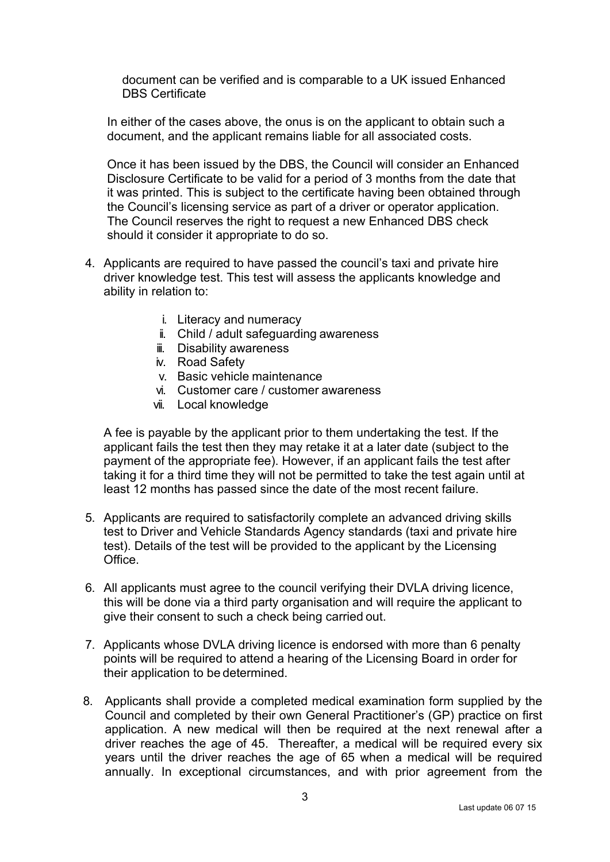document can be verified and is comparable to a UK issued Enhanced DBS Certificate

In either of the cases above, the onus is on the applicant to obtain such a document, and the applicant remains liable for all associated costs.

Once it has been issued by the DBS, the Council will consider an Enhanced Disclosure Certificate to be valid for a period of 3 months from the date that it was printed. This is subject to the certificate having been obtained through the Council's licensing service as part of a driver or operator application. The Council reserves the right to request a new Enhanced DBS check should it consider it appropriate to do so.

- 4. Applicants are required to have passed the council's taxi and private hire driver knowledge test. This test will assess the applicants knowledge and ability in relation to:
	- i. Literacy and numeracy
	- ii. Child / adult safeguarding awareness
	- iii. Disability awareness
	- iv. Road Safety
	- v. Basic vehicle maintenance
	- vi. Customer care / customer awareness
	- vii. Local knowledge

A fee is payable by the applicant prior to them undertaking the test. If the applicant fails the test then they may retake it at a later date (subject to the payment of the appropriate fee). However, if an applicant fails the test after taking it for a third time they will not be permitted to take the test again until at least 12 months has passed since the date of the most recent failure.

- 5. Applicants are required to satisfactorily complete an advanced driving skills test to Driver and Vehicle Standards Agency standards (taxi and private hire test). Details of the test will be provided to the applicant by the Licensing Office.
- 6. All applicants must agree to the council verifying their DVLA driving licence, this will be done via a third party organisation and will require the applicant to give their consent to such a check being carried out.
- 7. Applicants whose DVLA driving licence is endorsed with more than 6 penalty points will be required to attend a hearing of the Licensing Board in order for their application to be determined.
- 8. Applicants shall provide a completed medical examination form supplied by the Council and completed by their own General Practitioner's (GP) practice on first application. A new medical will then be required at the next renewal after a driver reaches the age of 45. Thereafter, a medical will be required every six years until the driver reaches the age of 65 when a medical will be required annually. In exceptional circumstances, and with prior agreement from the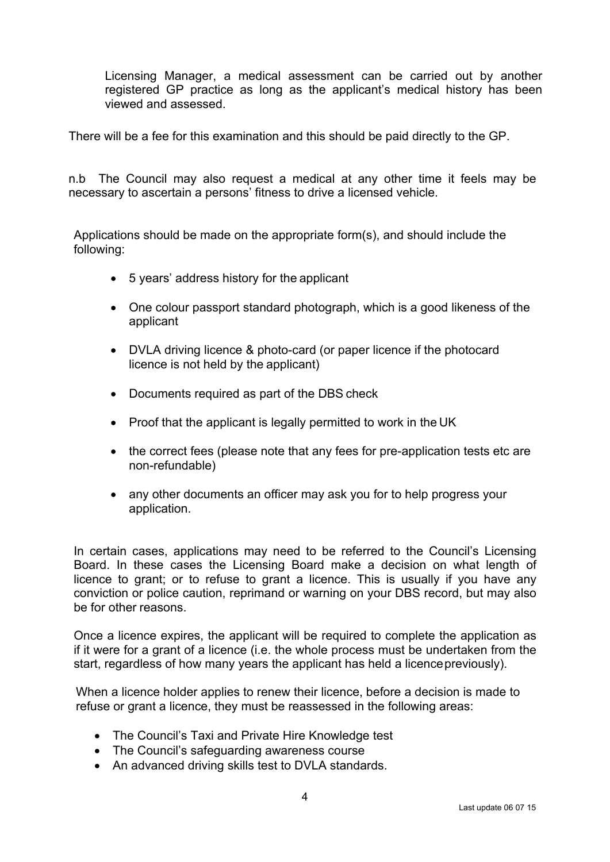Licensing Manager, a medical assessment can be carried out by another registered GP practice as long as the applicant's medical history has been viewed and assessed.

There will be a fee for this examination and this should be paid directly to the GP.

n.b The Council may also request a medical at any other time it feels may be necessary to ascertain a persons' fitness to drive a licensed vehicle.

Applications should be made on the appropriate form(s), and should include the following:

- 5 years' address history for the applicant
- One colour passport standard photograph, which is a good likeness of the applicant
- DVLA driving licence & photo-card (or paper licence if the photocard licence is not held by the applicant)
- Documents required as part of the DBS check
- Proof that the applicant is legally permitted to work in the UK
- the correct fees (please note that any fees for pre-application tests etc are non-refundable)
- any other documents an officer may ask you for to help progress your application.

In certain cases, applications may need to be referred to the Council's Licensing Board. In these cases the Licensing Board make a decision on what length of licence to grant; or to refuse to grant a licence. This is usually if you have any conviction or police caution, reprimand or warning on your DBS record, but may also be for other reasons.

Once a licence expires, the applicant will be required to complete the application as if it were for a grant of a licence (i.e. the whole process must be undertaken from the start, regardless of how many years the applicant has held a licence previously).

When a licence holder applies to renew their licence, before a decision is made to refuse or grant a licence, they must be reassessed in the following areas:

- The Council's Taxi and Private Hire Knowledge test
- The Council's safeguarding awareness course
- An advanced driving skills test to DVLA standards.